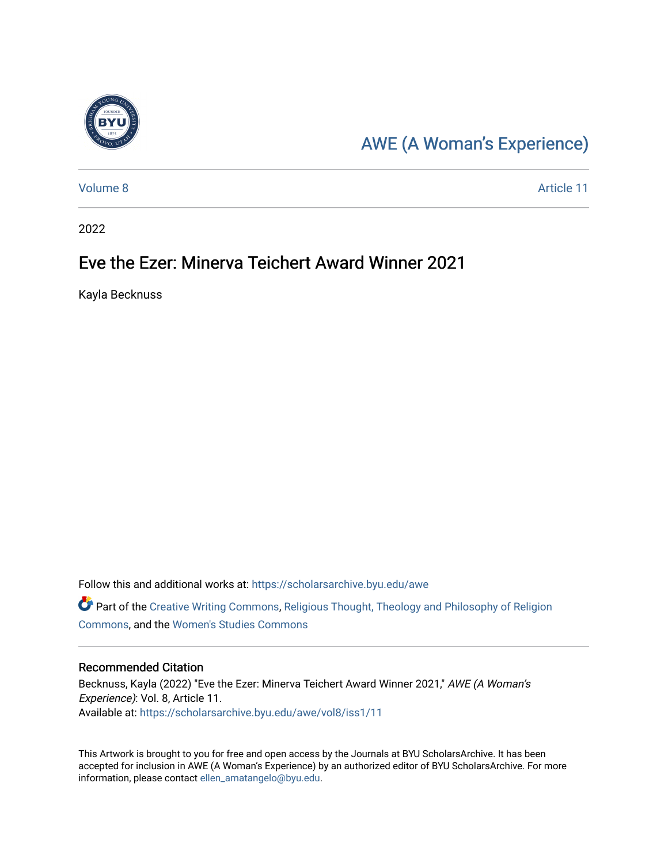

## [AWE \(A Woman's Experience\)](https://scholarsarchive.byu.edu/awe)

[Volume 8](https://scholarsarchive.byu.edu/awe/vol8) Article 11

2022

## Eve the Ezer: Minerva Teichert Award Winner 2021

Kayla Becknuss

Follow this and additional works at: [https://scholarsarchive.byu.edu/awe](https://scholarsarchive.byu.edu/awe?utm_source=scholarsarchive.byu.edu%2Fawe%2Fvol8%2Fiss1%2F11&utm_medium=PDF&utm_campaign=PDFCoverPages)

Part of the [Creative Writing Commons](https://network.bepress.com/hgg/discipline/574?utm_source=scholarsarchive.byu.edu%2Fawe%2Fvol8%2Fiss1%2F11&utm_medium=PDF&utm_campaign=PDFCoverPages), [Religious Thought, Theology and Philosophy of Religion](https://network.bepress.com/hgg/discipline/544?utm_source=scholarsarchive.byu.edu%2Fawe%2Fvol8%2Fiss1%2F11&utm_medium=PDF&utm_campaign=PDFCoverPages) [Commons](https://network.bepress.com/hgg/discipline/544?utm_source=scholarsarchive.byu.edu%2Fawe%2Fvol8%2Fiss1%2F11&utm_medium=PDF&utm_campaign=PDFCoverPages), and the [Women's Studies Commons](https://network.bepress.com/hgg/discipline/561?utm_source=scholarsarchive.byu.edu%2Fawe%2Fvol8%2Fiss1%2F11&utm_medium=PDF&utm_campaign=PDFCoverPages)

#### Recommended Citation

Becknuss, Kayla (2022) "Eve the Ezer: Minerva Teichert Award Winner 2021," AWE (A Woman's Experience): Vol. 8, Article 11. Available at: [https://scholarsarchive.byu.edu/awe/vol8/iss1/11](https://scholarsarchive.byu.edu/awe/vol8/iss1/11?utm_source=scholarsarchive.byu.edu%2Fawe%2Fvol8%2Fiss1%2F11&utm_medium=PDF&utm_campaign=PDFCoverPages) 

This Artwork is brought to you for free and open access by the Journals at BYU ScholarsArchive. It has been accepted for inclusion in AWE (A Woman's Experience) by an authorized editor of BYU ScholarsArchive. For more information, please contact [ellen\\_amatangelo@byu.edu.](mailto:ellen_amatangelo@byu.edu)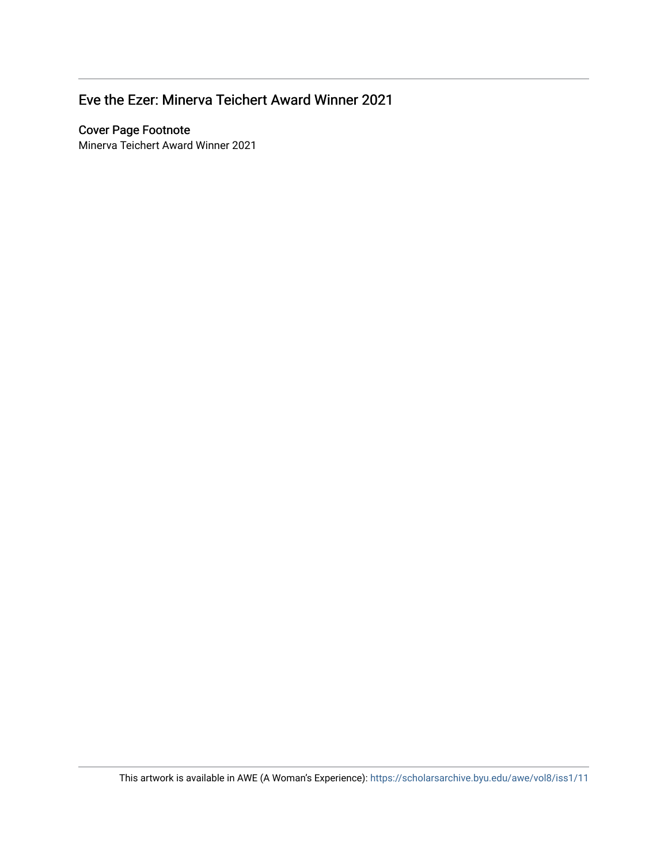### Eve the Ezer: Minerva Teichert Award Winner 2021

#### **Cover Page Footnote**

Minerva Teichert Award Winner 2021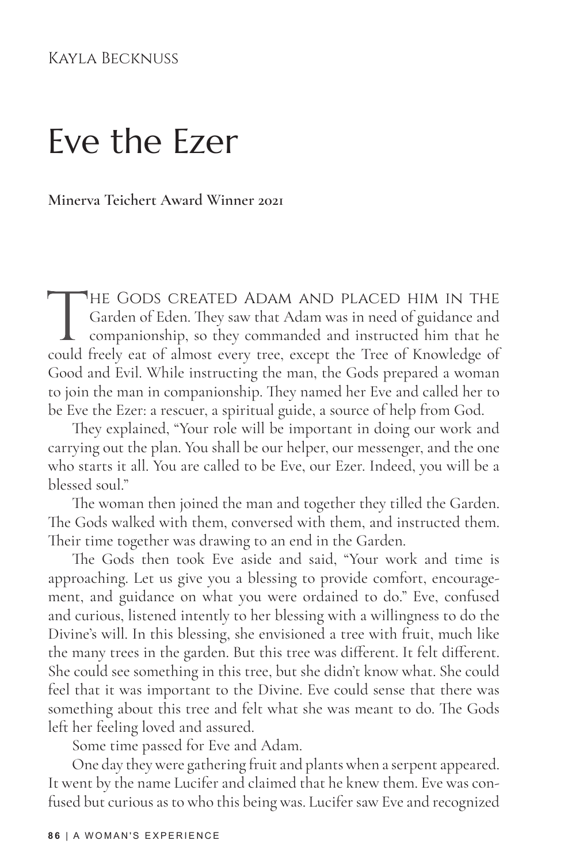#### Kayla Becknuss

# Eve the Ezer

**Minerva Teichert Award Winner 2021**

THE GODS CREATED ADAM AND PLACED HIM IN THE Garden of Eden. They saw that Adam was in need of guidance and companionship, so they commanded and instructed him that he could freely eat of almost every tree, except the Tree Garden of Eden. They saw that Adam was in need of guidance and companionship, so they commanded and instructed him that he could freely eat of almost every tree, except the Tree of Knowledge of Good and Evil. While instructing the man, the Gods prepared a woman to join the man in companionship. They named her Eve and called her to be Eve the Ezer: a rescuer, a spiritual guide, a source of help from God.

They explained, "Your role will be important in doing our work and carrying out the plan. You shall be our helper, our messenger, and the one who starts it all. You are called to be Eve, our Ezer. Indeed, you will be a blessed soul."

The woman then joined the man and together they tilled the Garden. The Gods walked with them, conversed with them, and instructed them. Their time together was drawing to an end in the Garden.

The Gods then took Eve aside and said, "Your work and time is approaching. Let us give you a blessing to provide comfort, encouragement, and guidance on what you were ordained to do." Eve, confused and curious, listened intently to her blessing with a willingness to do the Divine's will. In this blessing, she envisioned a tree with fruit, much like the many trees in the garden. But this tree was different. It felt different. She could see something in this tree, but she didn't know what. She could feel that it was important to the Divine. Eve could sense that there was something about this tree and felt what she was meant to do. The Gods left her feeling loved and assured.

Some time passed for Eve and Adam.

One day they were gathering fruit and plants when a serpent appeared. It went by the name Lucifer and claimed that he knew them. Eve was confused but curious as to who this being was. Lucifer saw Eve and recognized